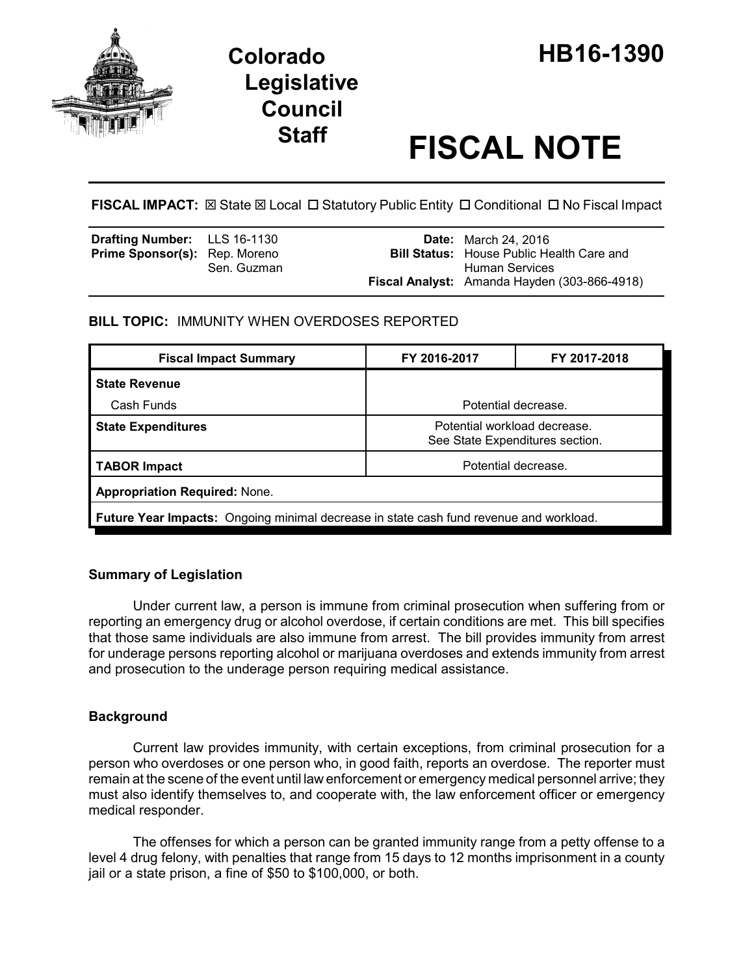

# **Legislative Council**

# **Staff FISCAL NOTE**

**FISCAL IMPACT:**  $\boxtimes$  State  $\boxtimes$  Local  $\Box$  Statutory Public Entity  $\Box$  Conditional  $\Box$  No Fiscal Impact

| <b>Drafting Number:</b> LLS 16-1130  |             | <b>Date:</b> March 24, 2016                                        |
|--------------------------------------|-------------|--------------------------------------------------------------------|
| <b>Prime Sponsor(s):</b> Rep. Moreno | Sen. Guzman | <b>Bill Status:</b> House Public Health Care and<br>Human Services |
|                                      |             | Fiscal Analyst: Amanda Hayden (303-866-4918)                       |

## **BILL TOPIC:** IMMUNITY WHEN OVERDOSES REPORTED

| <b>Fiscal Impact Summary</b>                                                                  | FY 2016-2017                                                    | FY 2017-2018 |  |  |  |
|-----------------------------------------------------------------------------------------------|-----------------------------------------------------------------|--------------|--|--|--|
| <b>State Revenue</b>                                                                          |                                                                 |              |  |  |  |
| Cash Funds                                                                                    | Potential decrease.                                             |              |  |  |  |
| <b>State Expenditures</b>                                                                     | Potential workload decrease.<br>See State Expenditures section. |              |  |  |  |
| <b>TABOR Impact</b>                                                                           | Potential decrease.                                             |              |  |  |  |
| <b>Appropriation Required: None.</b>                                                          |                                                                 |              |  |  |  |
| <b>Future Year Impacts:</b> Ongoing minimal decrease in state cash fund revenue and workload. |                                                                 |              |  |  |  |

## **Summary of Legislation**

Under current law, a person is immune from criminal prosecution when suffering from or reporting an emergency drug or alcohol overdose, if certain conditions are met. This bill specifies that those same individuals are also immune from arrest. The bill provides immunity from arrest for underage persons reporting alcohol or marijuana overdoses and extends immunity from arrest and prosecution to the underage person requiring medical assistance.

# **Background**

Current law provides immunity, with certain exceptions, from criminal prosecution for a person who overdoses or one person who, in good faith, reports an overdose. The reporter must remain at the scene of the event until law enforcement or emergency medical personnel arrive; they must also identify themselves to, and cooperate with, the law enforcement officer or emergency medical responder.

The offenses for which a person can be granted immunity range from a petty offense to a level 4 drug felony, with penalties that range from 15 days to 12 months imprisonment in a county jail or a state prison, a fine of \$50 to \$100,000, or both.